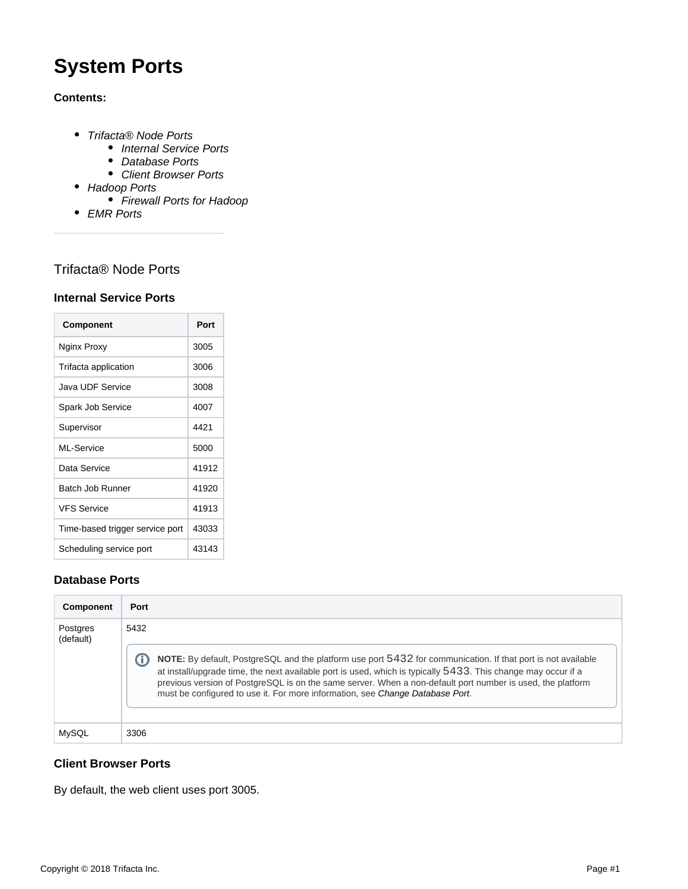# **System Ports**

### **Contents:**

- [Trifacta® Node Ports](#page-0-0)
	- [Internal Service Ports](#page-0-1)
	- [Database Ports](#page-0-2)
	- [Client Browser Ports](#page-0-3)
- [Hadoop Ports](#page-1-0)
	- [Firewall Ports for Hadoop](#page-1-1)
- [EMR Ports](#page-2-0)

# <span id="page-0-0"></span>Trifacta® Node Ports

#### <span id="page-0-1"></span>**Internal Service Ports**

| Component                       | Port  |
|---------------------------------|-------|
| Nginx Proxy                     | 3005  |
| Trifacta application            | 3006  |
| Java UDF Service                | 3008  |
| Spark Job Service               | 4007  |
| Supervisor                      | 4421  |
| MI-Service                      | 5000  |
| Data Service                    | 41912 |
| Batch Job Runner                | 41920 |
| <b>VFS Service</b>              | 41913 |
| Time-based trigger service port | 43033 |
| Scheduling service port         | 43143 |

## <span id="page-0-2"></span>**Database Ports**

| Component             | Port                                                                                                                                                                                                                                                                                                                                                                                                                                 |
|-----------------------|--------------------------------------------------------------------------------------------------------------------------------------------------------------------------------------------------------------------------------------------------------------------------------------------------------------------------------------------------------------------------------------------------------------------------------------|
| Postgres<br>(default) | 5432<br>NOTE: By default, PostgreSQL and the platform use port 5432 for communication. If that port is not available<br>at install/upgrade time, the next available port is used, which is typically 5433. This change may occur if a<br>previous version of PostgreSQL is on the same server. When a non-default port number is used, the platform<br>must be configured to use it. For more information, see Change Database Port. |
| MySQL                 | 3306                                                                                                                                                                                                                                                                                                                                                                                                                                 |

## <span id="page-0-3"></span>**Client Browser Ports**

By default, the web client uses port 3005.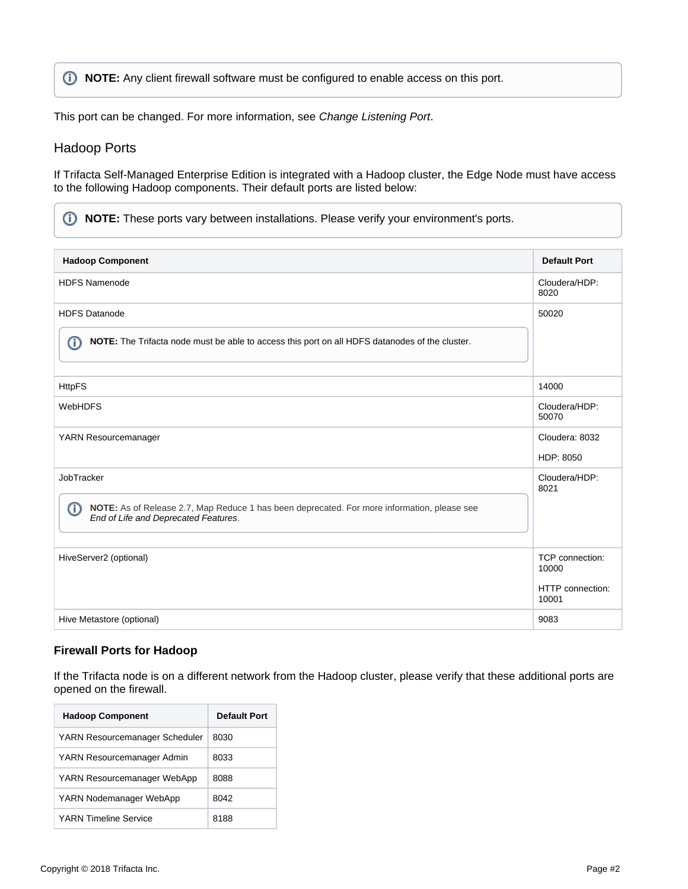**NOTE:** Any client firewall software must be configured to enable access on this port.

This port can be changed. For more information, see [Change Listening Port](https://docs.trifacta.com/display/r051/Change+Listening+Port).

#### <span id="page-1-0"></span>Hadoop Ports

If Trifacta Self-Managed Enterprise Edition is integrated with a Hadoop cluster, the Edge Node must have access to the following Hadoop components. Their default ports are listed below:

**NOTE:** These ports vary between installations. Please verify your environment's ports.

| <b>Hadoop Component</b>                                                                                                                  | <b>Default Port</b>       |
|------------------------------------------------------------------------------------------------------------------------------------------|---------------------------|
| <b>HDFS Namenode</b>                                                                                                                     | Cloudera/HDP:<br>8020     |
| <b>HDFS Datanode</b>                                                                                                                     | 50020                     |
| NOTE: The Trifacta node must be able to access this port on all HDFS datanodes of the cluster.<br>ത                                      |                           |
| <b>HttpFS</b>                                                                                                                            | 14000                     |
| <b>WebHDFS</b>                                                                                                                           | Cloudera/HDP:<br>50070    |
| YARN Resourcemanager                                                                                                                     | Cloudera: 8032            |
|                                                                                                                                          | HDP: 8050                 |
| JobTracker                                                                                                                               | Cloudera/HDP:<br>8021     |
| ത<br>NOTE: As of Release 2.7, Map Reduce 1 has been deprecated. For more information, please see<br>End of Life and Deprecated Features. |                           |
| HiveServer2 (optional)                                                                                                                   | TCP connection:<br>10000  |
|                                                                                                                                          | HTTP connection:<br>10001 |
| Hive Metastore (optional)                                                                                                                | 9083                      |

#### <span id="page-1-1"></span>**Firewall Ports for Hadoop**

If the Trifacta node is on a different network from the Hadoop cluster, please verify that these additional ports are opened on the firewall.

| <b>Hadoop Component</b>        | Default Port |
|--------------------------------|--------------|
| YARN Resourcemanager Scheduler | 8030         |
| YARN Resourcemanager Admin     | 8033         |
| YARN Resourcemanager WebApp    | 8088         |
| YARN Nodemanager WebApp        | 8042         |
| <b>YARN Timeline Service</b>   | 8188         |